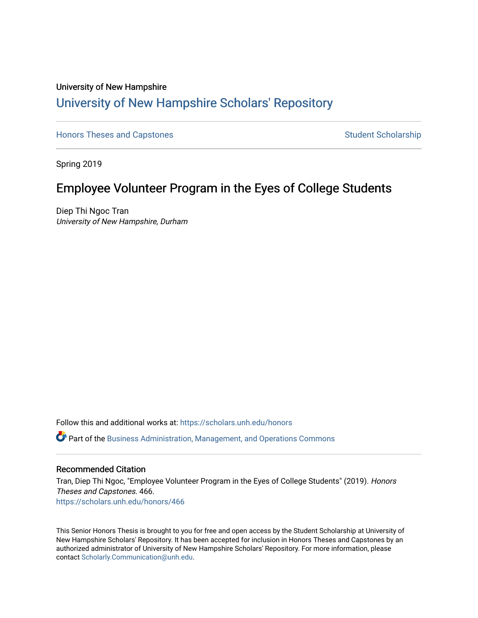# University of New Hampshire [University of New Hampshire Scholars' Repository](https://scholars.unh.edu/)

[Honors Theses and Capstones](https://scholars.unh.edu/honors) [Student Scholarship](https://scholars.unh.edu/student) Student Scholarship

Spring 2019

# Employee Volunteer Program in the Eyes of College Students

Diep Thi Ngoc Tran University of New Hampshire, Durham

Follow this and additional works at: [https://scholars.unh.edu/honors](https://scholars.unh.edu/honors?utm_source=scholars.unh.edu%2Fhonors%2F466&utm_medium=PDF&utm_campaign=PDFCoverPages) 

Part of the [Business Administration, Management, and Operations Commons](http://network.bepress.com/hgg/discipline/623?utm_source=scholars.unh.edu%2Fhonors%2F466&utm_medium=PDF&utm_campaign=PDFCoverPages)

#### Recommended Citation

Tran, Diep Thi Ngoc, "Employee Volunteer Program in the Eyes of College Students" (2019). Honors Theses and Capstones. 466. [https://scholars.unh.edu/honors/466](https://scholars.unh.edu/honors/466?utm_source=scholars.unh.edu%2Fhonors%2F466&utm_medium=PDF&utm_campaign=PDFCoverPages) 

This Senior Honors Thesis is brought to you for free and open access by the Student Scholarship at University of New Hampshire Scholars' Repository. It has been accepted for inclusion in Honors Theses and Capstones by an authorized administrator of University of New Hampshire Scholars' Repository. For more information, please contact [Scholarly.Communication@unh.edu.](mailto:Scholarly.Communication@unh.edu)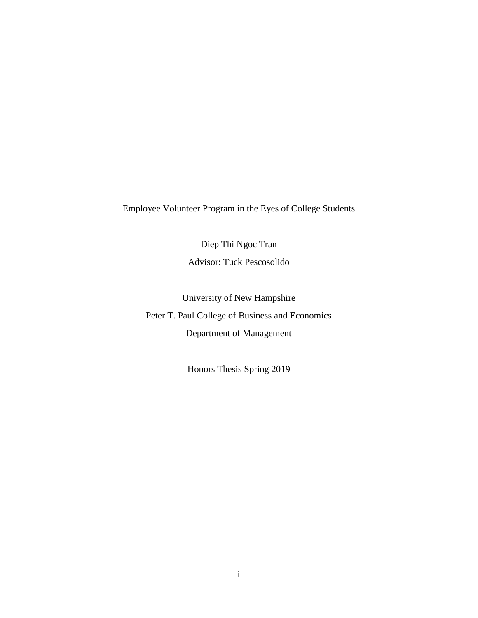Employee Volunteer Program in the Eyes of College Students

Diep Thi Ngoc Tran Advisor: Tuck Pescosolido

University of New Hampshire Peter T. Paul College of Business and Economics Department of Management

Honors Thesis Spring 2019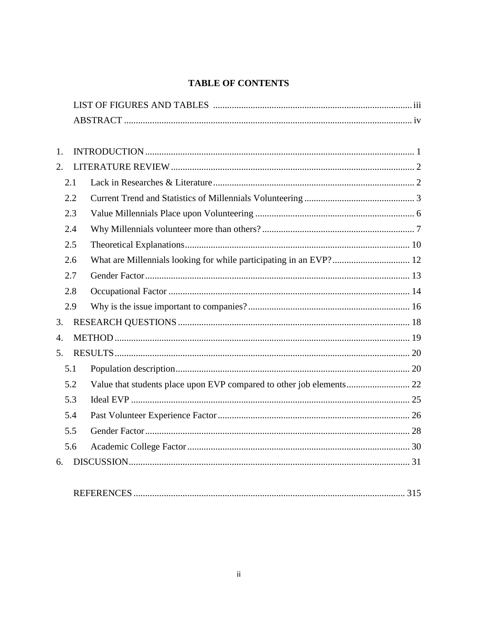# **TABLE OF CONTENTS**

| 1.               |                    |     |
|------------------|--------------------|-----|
| 2.               |                    |     |
| 2.1              |                    |     |
| 2.2              |                    |     |
| 2.3              |                    |     |
| 2.4              |                    |     |
| 2.5              |                    |     |
| 2.6              |                    |     |
| 2.7              |                    |     |
| 2.8              |                    |     |
| 2.9              |                    |     |
| 3.               |                    |     |
| $\overline{4}$ . |                    |     |
| 5.               |                    |     |
| 5.1              |                    |     |
| 5.2              |                    |     |
| 5.3              |                    |     |
| 5.4              |                    |     |
| 5.5              |                    |     |
| 5.6              |                    |     |
| 6.               |                    |     |
|                  |                    |     |
|                  | <b>REFERENCES.</b> | 315 |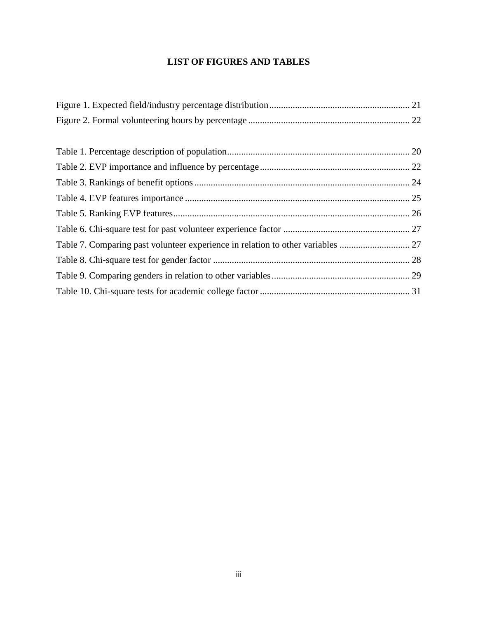# **LIST OF FIGURES AND TABLES**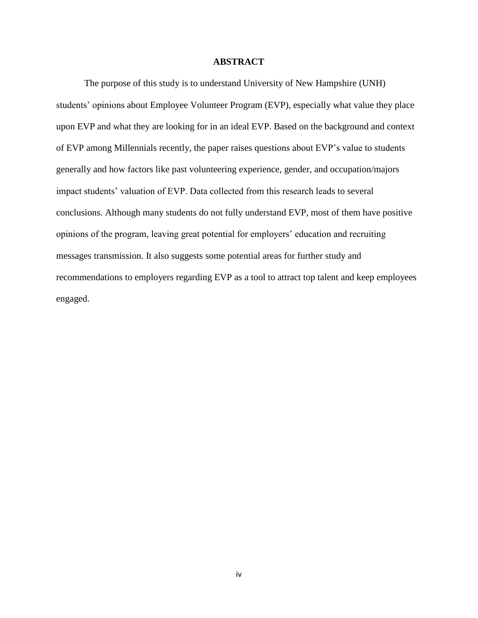## **ABSTRACT**

The purpose of this study is to understand University of New Hampshire (UNH) students' opinions about Employee Volunteer Program (EVP), especially what value they place upon EVP and what they are looking for in an ideal EVP. Based on the background and context of EVP among Millennials recently, the paper raises questions about EVP's value to students generally and how factors like past volunteering experience, gender, and occupation/majors impact students' valuation of EVP. Data collected from this research leads to several conclusions. Although many students do not fully understand EVP, most of them have positive opinions of the program, leaving great potential for employers' education and recruiting messages transmission. It also suggests some potential areas for further study and recommendations to employers regarding EVP as a tool to attract top talent and keep employees engaged.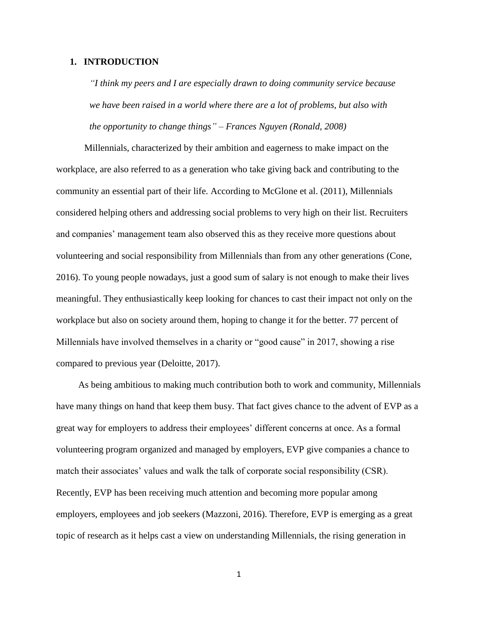#### <span id="page-5-0"></span>**1. INTRODUCTION**

*"I think my peers and I are especially drawn to doing community service because we have been raised in a world where there are a lot of problems, but also with the opportunity to change things" – Frances Nguyen (Ronald, 2008)*

Millennials, characterized by their ambition and eagerness to make impact on the workplace, are also referred to as a generation who take giving back and contributing to the community an essential part of their life. According to McGlone et al. (2011), Millennials considered helping others and addressing social problems to very high on their list. Recruiters and companies' management team also observed this as they receive more questions about volunteering and social responsibility from Millennials than from any other generations (Cone, 2016). To young people nowadays, just a good sum of salary is not enough to make their lives meaningful. They enthusiastically keep looking for chances to cast their impact not only on the workplace but also on society around them, hoping to change it for the better. 77 percent of Millennials have involved themselves in a charity or "good cause" in 2017, showing a rise compared to previous year (Deloitte, 2017).

As being ambitious to making much contribution both to work and community, Millennials have many things on hand that keep them busy. That fact gives chance to the advent of EVP as a great way for employers to address their employees' different concerns at once. As a formal volunteering program organized and managed by employers, EVP give companies a chance to match their associates' values and walk the talk of corporate social responsibility (CSR). Recently, EVP has been receiving much attention and becoming more popular among employers, employees and job seekers (Mazzoni, 2016). Therefore, EVP is emerging as a great topic of research as it helps cast a view on understanding Millennials, the rising generation in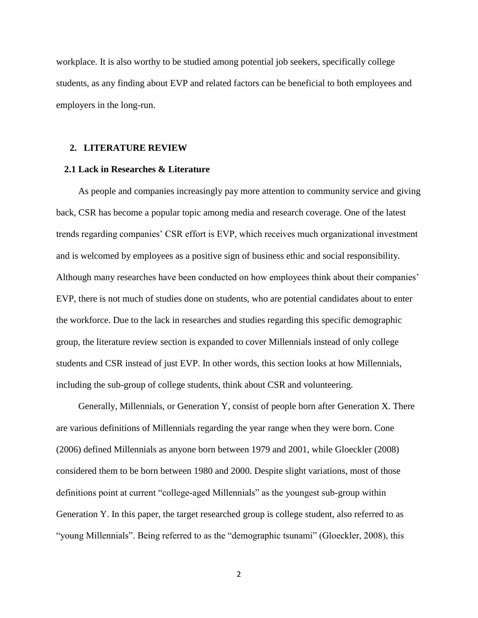workplace. It is also worthy to be studied among potential job seekers, specifically college students, as any finding about EVP and related factors can be beneficial to both employees and employers in the long-run.

#### <span id="page-6-0"></span>**2. LITERATURE REVIEW**

#### <span id="page-6-1"></span>**2.1 Lack in Researches & Literature**

As people and companies increasingly pay more attention to community service and giving back, CSR has become a popular topic among media and research coverage. One of the latest trends regarding companies' CSR effort is EVP, which receives much organizational investment and is welcomed by employees as a positive sign of business ethic and social responsibility. Although many researches have been conducted on how employees think about their companies' EVP, there is not much of studies done on students, who are potential candidates about to enter the workforce. Due to the lack in researches and studies regarding this specific demographic group, the literature review section is expanded to cover Millennials instead of only college students and CSR instead of just EVP. In other words, this section looks at how Millennials, including the sub-group of college students, think about CSR and volunteering.

Generally, Millennials, or Generation Y, consist of people born after Generation X. There are various definitions of Millennials regarding the year range when they were born. Cone (2006) defined Millennials as anyone born between 1979 and 2001, while Gloeckler (2008) considered them to be born between 1980 and 2000. Despite slight variations, most of those definitions point at current "college-aged Millennials" as the youngest sub-group within Generation Y. In this paper, the target researched group is college student, also referred to as "young Millennials". Being referred to as the "demographic tsunami" (Gloeckler, 2008), this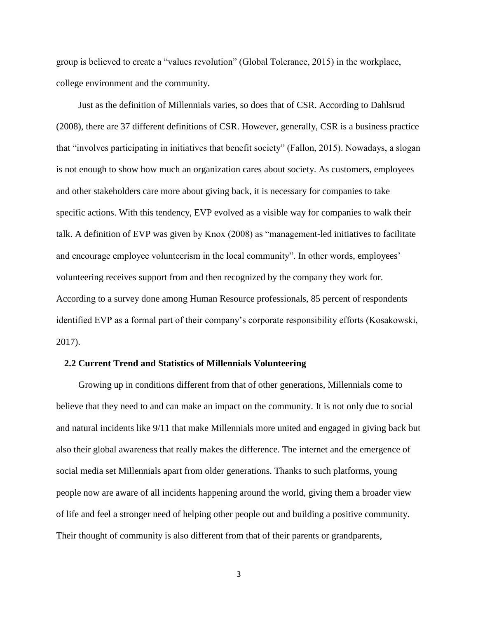group is believed to create a "values revolution" (Global Tolerance, 2015) in the workplace, college environment and the community.

Just as the definition of Millennials varies, so does that of CSR. According to Dahlsrud (2008), there are 37 different definitions of CSR. However, generally, CSR is a business practice that "involves participating in initiatives that benefit society" (Fallon, 2015). Nowadays, a slogan is not enough to show how much an organization cares about society. As customers, employees and other stakeholders care more about giving back, it is necessary for companies to take specific actions. With this tendency, EVP evolved as a visible way for companies to walk their talk. A definition of EVP was given by Knox (2008) as "management-led initiatives to facilitate and encourage employee volunteerism in the local community". In other words, employees' volunteering receives support from and then recognized by the company they work for. According to a survey done among Human Resource professionals, 85 percent of respondents identified EVP as a formal part of their company's corporate responsibility efforts (Kosakowski, 2017).

#### <span id="page-7-0"></span>**2.2 Current Trend and Statistics of Millennials Volunteering**

Growing up in conditions different from that of other generations, Millennials come to believe that they need to and can make an impact on the community. It is not only due to social and natural incidents like 9/11 that make Millennials more united and engaged in giving back but also their global awareness that really makes the difference. The internet and the emergence of social media set Millennials apart from older generations. Thanks to such platforms, young people now are aware of all incidents happening around the world, giving them a broader view of life and feel a stronger need of helping other people out and building a positive community. Their thought of community is also different from that of their parents or grandparents,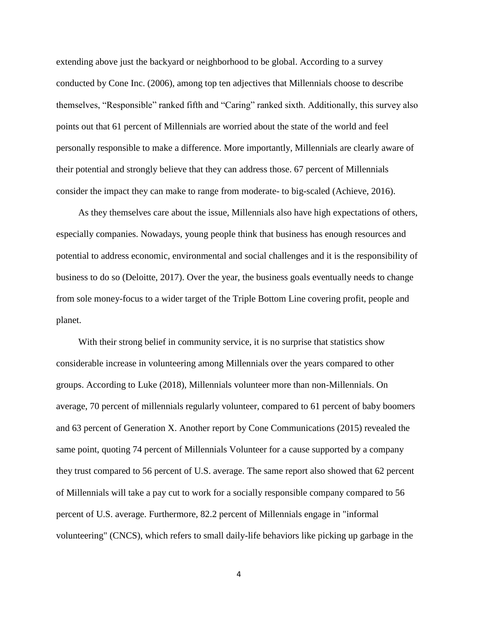extending above just the backyard or neighborhood to be global. According to a survey conducted by Cone Inc. (2006), among top ten adjectives that Millennials choose to describe themselves, "Responsible" ranked fifth and "Caring" ranked sixth. Additionally, this survey also points out that 61 percent of Millennials are worried about the state of the world and feel personally responsible to make a difference. More importantly, Millennials are clearly aware of their potential and strongly believe that they can address those. 67 percent of Millennials consider the impact they can make to range from moderate- to big-scaled (Achieve, 2016).

As they themselves care about the issue, Millennials also have high expectations of others, especially companies. Nowadays, young people think that business has enough resources and potential to address economic, environmental and social challenges and it is the responsibility of business to do so (Deloitte, 2017). Over the year, the business goals eventually needs to change from sole money-focus to a wider target of the Triple Bottom Line covering profit, people and planet.

With their strong belief in community service, it is no surprise that statistics show considerable increase in volunteering among Millennials over the years compared to other groups. According to Luke (2018), Millennials volunteer more than non-Millennials. On average, 70 percent of millennials regularly volunteer, compared to 61 percent of baby boomers and 63 percent of Generation X. Another report by Cone Communications (2015) revealed the same point, quoting 74 percent of Millennials Volunteer for a cause supported by a company they trust compared to 56 percent of U.S. average. The same report also showed that 62 percent of Millennials will take a pay cut to work for a socially responsible company compared to 56 percent of U.S. average. Furthermore, 82.2 percent of Millennials engage in "informal volunteering" (CNCS), which refers to small daily-life behaviors like picking up garbage in the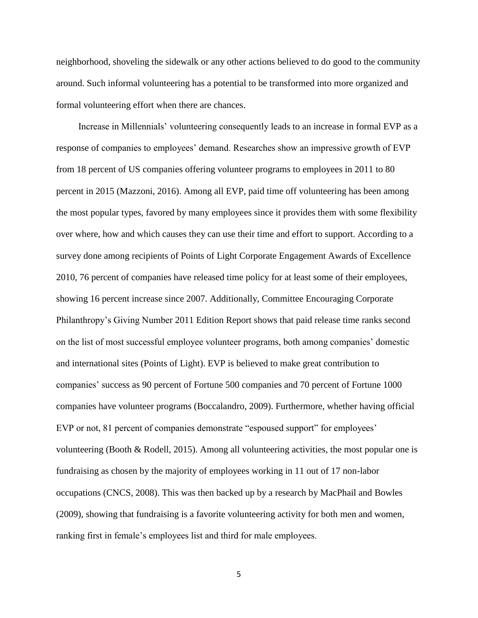neighborhood, shoveling the sidewalk or any other actions believed to do good to the community around. Such informal volunteering has a potential to be transformed into more organized and formal volunteering effort when there are chances.

Increase in Millennials' volunteering consequently leads to an increase in formal EVP as a response of companies to employees' demand. Researches show an impressive growth of EVP from 18 percent of US companies offering volunteer programs to employees in 2011 to 80 percent in 2015 (Mazzoni, 2016). Among all EVP, paid time off volunteering has been among the most popular types, favored by many employees since it provides them with some flexibility over where, how and which causes they can use their time and effort to support. According to a survey done among recipients of Points of Light Corporate Engagement Awards of Excellence 2010, 76 percent of companies have released time policy for at least some of their employees, showing 16 percent increase since 2007. Additionally, Committee Encouraging Corporate Philanthropy's Giving Number 2011 Edition Report shows that paid release time ranks second on the list of most successful employee volunteer programs, both among companies' domestic and international sites (Points of Light). EVP is believed to make great contribution to companies' success as 90 percent of Fortune 500 companies and 70 percent of Fortune 1000 companies have volunteer programs (Boccalandro, 2009). Furthermore, whether having official EVP or not, 81 percent of companies demonstrate "espoused support" for employees' volunteering (Booth & Rodell, 2015). Among all volunteering activities, the most popular one is fundraising as chosen by the majority of employees working in 11 out of 17 non-labor occupations (CNCS, 2008). This was then backed up by a research by MacPhail and Bowles (2009), showing that fundraising is a favorite volunteering activity for both men and women, ranking first in female's employees list and third for male employees.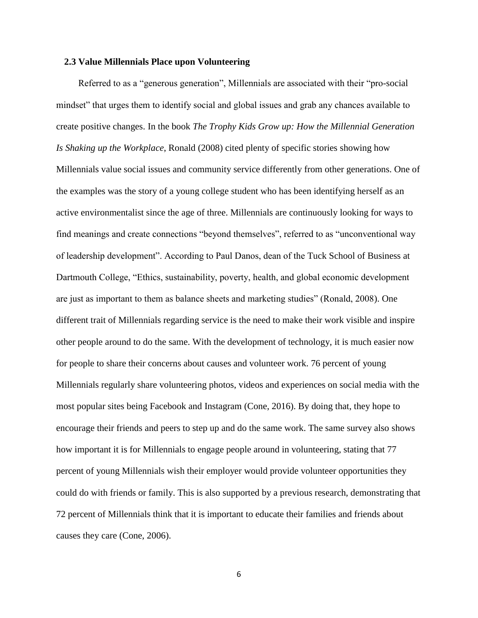#### <span id="page-10-0"></span>**2.3 Value Millennials Place upon Volunteering**

Referred to as a "generous generation", Millennials are associated with their "pro-social mindset" that urges them to identify social and global issues and grab any chances available to create positive changes. In the book *The Trophy Kids Grow up: How the Millennial Generation Is Shaking up the Workplace*, Ronald (2008) cited plenty of specific stories showing how Millennials value social issues and community service differently from other generations. One of the examples was the story of a young college student who has been identifying herself as an active environmentalist since the age of three. Millennials are continuously looking for ways to find meanings and create connections "beyond themselves", referred to as "unconventional way of leadership development". According to Paul Danos, dean of the Tuck School of Business at Dartmouth College, "Ethics, sustainability, poverty, health, and global economic development are just as important to them as balance sheets and marketing studies" (Ronald, 2008). One different trait of Millennials regarding service is the need to make their work visible and inspire other people around to do the same. With the development of technology, it is much easier now for people to share their concerns about causes and volunteer work. 76 percent of young Millennials regularly share volunteering photos, videos and experiences on social media with the most popular sites being Facebook and Instagram (Cone, 2016). By doing that, they hope to encourage their friends and peers to step up and do the same work. The same survey also shows how important it is for Millennials to engage people around in volunteering, stating that 77 percent of young Millennials wish their employer would provide volunteer opportunities they could do with friends or family. This is also supported by a previous research, demonstrating that 72 percent of Millennials think that it is important to educate their families and friends about causes they care (Cone, 2006).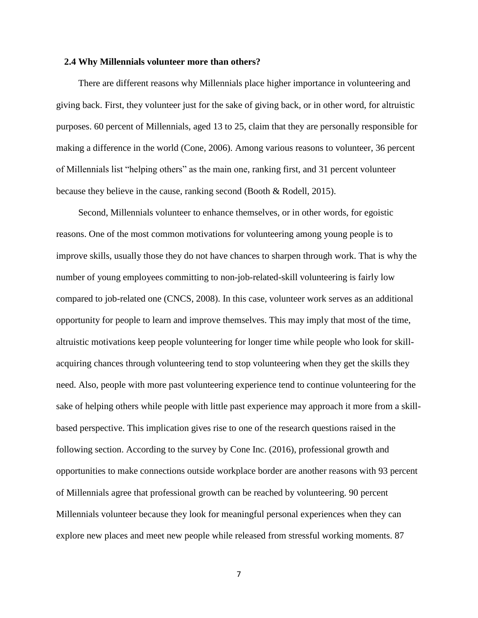#### <span id="page-11-0"></span>**2.4 Why Millennials volunteer more than others?**

There are different reasons why Millennials place higher importance in volunteering and giving back. First, they volunteer just for the sake of giving back, or in other word, for altruistic purposes. 60 percent of Millennials, aged 13 to 25, claim that they are personally responsible for making a difference in the world (Cone, 2006). Among various reasons to volunteer, 36 percent of Millennials list "helping others" as the main one, ranking first, and 31 percent volunteer because they believe in the cause, ranking second (Booth & Rodell, 2015).

Second, Millennials volunteer to enhance themselves, or in other words, for egoistic reasons. One of the most common motivations for volunteering among young people is to improve skills, usually those they do not have chances to sharpen through work. That is why the number of young employees committing to non-job-related-skill volunteering is fairly low compared to job-related one (CNCS, 2008). In this case, volunteer work serves as an additional opportunity for people to learn and improve themselves. This may imply that most of the time, altruistic motivations keep people volunteering for longer time while people who look for skillacquiring chances through volunteering tend to stop volunteering when they get the skills they need. Also, people with more past volunteering experience tend to continue volunteering for the sake of helping others while people with little past experience may approach it more from a skillbased perspective. This implication gives rise to one of the research questions raised in the following section. According to the survey by Cone Inc. (2016), professional growth and opportunities to make connections outside workplace border are another reasons with 93 percent of Millennials agree that professional growth can be reached by volunteering. 90 percent Millennials volunteer because they look for meaningful personal experiences when they can explore new places and meet new people while released from stressful working moments. 87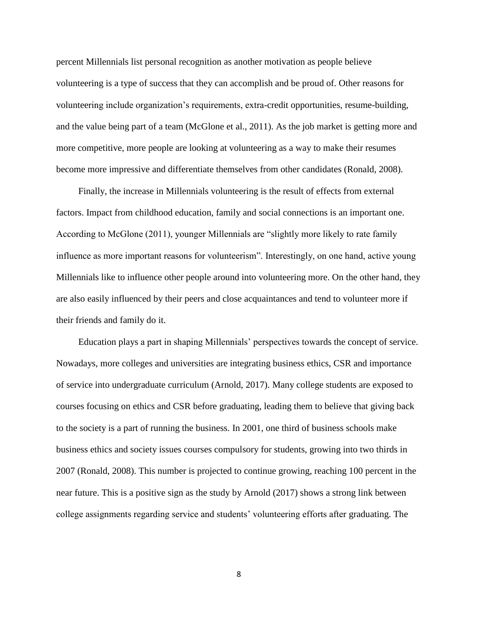percent Millennials list personal recognition as another motivation as people believe volunteering is a type of success that they can accomplish and be proud of. Other reasons for volunteering include organization's requirements, extra-credit opportunities, resume-building, and the value being part of a team (McGlone et al., 2011). As the job market is getting more and more competitive, more people are looking at volunteering as a way to make their resumes become more impressive and differentiate themselves from other candidates (Ronald, 2008).

Finally, the increase in Millennials volunteering is the result of effects from external factors. Impact from childhood education, family and social connections is an important one. According to McGlone (2011), younger Millennials are "slightly more likely to rate family influence as more important reasons for volunteerism". Interestingly, on one hand, active young Millennials like to influence other people around into volunteering more. On the other hand, they are also easily influenced by their peers and close acquaintances and tend to volunteer more if their friends and family do it.

Education plays a part in shaping Millennials' perspectives towards the concept of service. Nowadays, more colleges and universities are integrating business ethics, CSR and importance of service into undergraduate curriculum (Arnold, 2017). Many college students are exposed to courses focusing on ethics and CSR before graduating, leading them to believe that giving back to the society is a part of running the business. In 2001, one third of business schools make business ethics and society issues courses compulsory for students, growing into two thirds in 2007 (Ronald, 2008). This number is projected to continue growing, reaching 100 percent in the near future. This is a positive sign as the study by Arnold (2017) shows a strong link between college assignments regarding service and students' volunteering efforts after graduating. The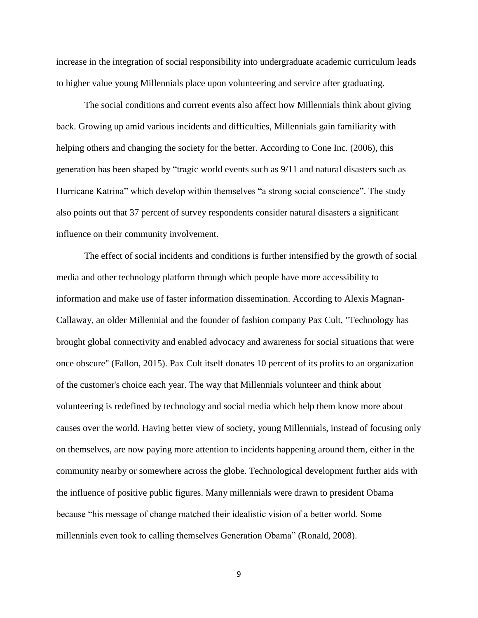increase in the integration of social responsibility into undergraduate academic curriculum leads to higher value young Millennials place upon volunteering and service after graduating.

The social conditions and current events also affect how Millennials think about giving back. Growing up amid various incidents and difficulties, Millennials gain familiarity with helping others and changing the society for the better. According to Cone Inc. (2006), this generation has been shaped by "tragic world events such as 9/11 and natural disasters such as Hurricane Katrina" which develop within themselves "a strong social conscience". The study also points out that 37 percent of survey respondents consider natural disasters a significant influence on their community involvement.

The effect of social incidents and conditions is further intensified by the growth of social media and other technology platform through which people have more accessibility to information and make use of faster information dissemination. According to Alexis Magnan-Callaway, an older Millennial and the founder of fashion company Pax Cult, "Technology has brought global connectivity and enabled advocacy and awareness for social situations that were once obscure" (Fallon, 2015). Pax Cult itself donates 10 percent of its profits to an organization of the customer's choice each year. The way that Millennials volunteer and think about volunteering is redefined by technology and social media which help them know more about causes over the world. Having better view of society, young Millennials, instead of focusing only on themselves, are now paying more attention to incidents happening around them, either in the community nearby or somewhere across the globe. Technological development further aids with the influence of positive public figures. Many millennials were drawn to president Obama because "his message of change matched their idealistic vision of a better world. Some millennials even took to calling themselves Generation Obama" (Ronald, 2008).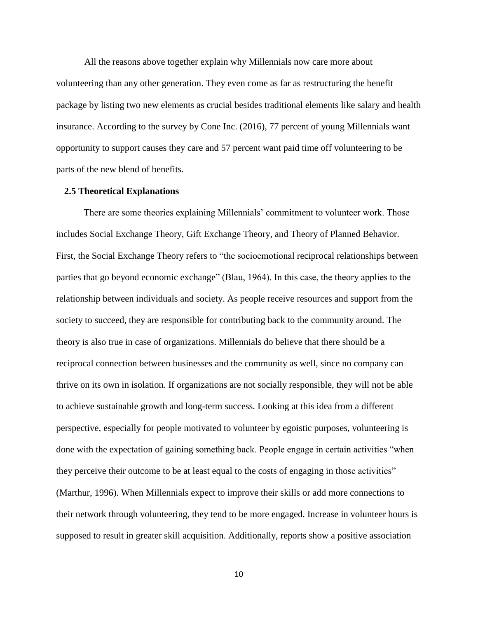All the reasons above together explain why Millennials now care more about volunteering than any other generation. They even come as far as restructuring the benefit package by listing two new elements as crucial besides traditional elements like salary and health insurance. According to the survey by Cone Inc. (2016), 77 percent of young Millennials want opportunity to support causes they care and 57 percent want paid time off volunteering to be parts of the new blend of benefits.

#### <span id="page-14-0"></span>**2.5 Theoretical Explanations**

There are some theories explaining Millennials' commitment to volunteer work. Those includes Social Exchange Theory, Gift Exchange Theory, and Theory of Planned Behavior. First, the Social Exchange Theory refers to "the socioemotional reciprocal relationships between parties that go beyond economic exchange" (Blau, 1964). In this case, the theory applies to the relationship between individuals and society. As people receive resources and support from the society to succeed, they are responsible for contributing back to the community around. The theory is also true in case of organizations. Millennials do believe that there should be a reciprocal connection between businesses and the community as well, since no company can thrive on its own in isolation. If organizations are not socially responsible, they will not be able to achieve sustainable growth and long-term success. Looking at this idea from a different perspective, especially for people motivated to volunteer by egoistic purposes, volunteering is done with the expectation of gaining something back. People engage in certain activities "when they perceive their outcome to be at least equal to the costs of engaging in those activities" (Marthur, 1996). When Millennials expect to improve their skills or add more connections to their network through volunteering, they tend to be more engaged. Increase in volunteer hours is supposed to result in greater skill acquisition. Additionally, reports show a positive association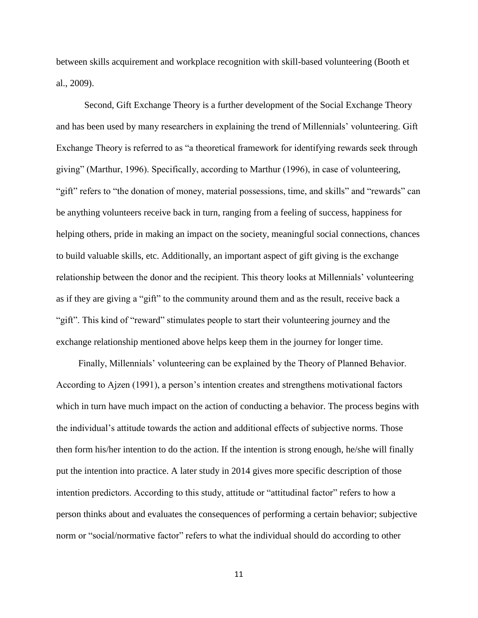between skills acquirement and workplace recognition with skill-based volunteering (Booth et al., 2009).

Second, Gift Exchange Theory is a further development of the Social Exchange Theory and has been used by many researchers in explaining the trend of Millennials' volunteering. Gift Exchange Theory is referred to as "a theoretical framework for identifying rewards seek through giving" (Marthur, 1996). Specifically, according to Marthur (1996), in case of volunteering, "gift" refers to "the donation of money, material possessions, time, and skills" and "rewards" can be anything volunteers receive back in turn, ranging from a feeling of success, happiness for helping others, pride in making an impact on the society, meaningful social connections, chances to build valuable skills, etc. Additionally, an important aspect of gift giving is the exchange relationship between the donor and the recipient. This theory looks at Millennials' volunteering as if they are giving a "gift" to the community around them and as the result, receive back a "gift". This kind of "reward" stimulates people to start their volunteering journey and the exchange relationship mentioned above helps keep them in the journey for longer time.

Finally, Millennials' volunteering can be explained by the Theory of Planned Behavior. According to Ajzen (1991), a person's intention creates and strengthens motivational factors which in turn have much impact on the action of conducting a behavior. The process begins with the individual's attitude towards the action and additional effects of subjective norms. Those then form his/her intention to do the action. If the intention is strong enough, he/she will finally put the intention into practice. A later study in 2014 gives more specific description of those intention predictors. According to this study, attitude or "attitudinal factor" refers to how a person thinks about and evaluates the consequences of performing a certain behavior; subjective norm or "social/normative factor" refers to what the individual should do according to other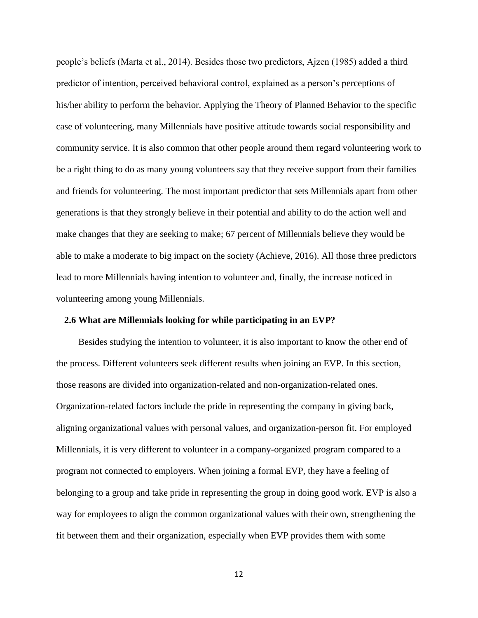people's beliefs (Marta et al., 2014). Besides those two predictors, Ajzen (1985) added a third predictor of intention, perceived behavioral control, explained as a person's perceptions of his/her ability to perform the behavior. Applying the Theory of Planned Behavior to the specific case of volunteering, many Millennials have positive attitude towards social responsibility and community service. It is also common that other people around them regard volunteering work to be a right thing to do as many young volunteers say that they receive support from their families and friends for volunteering. The most important predictor that sets Millennials apart from other generations is that they strongly believe in their potential and ability to do the action well and make changes that they are seeking to make; 67 percent of Millennials believe they would be able to make a moderate to big impact on the society (Achieve, 2016). All those three predictors lead to more Millennials having intention to volunteer and, finally, the increase noticed in volunteering among young Millennials.

#### <span id="page-16-0"></span>**2.6 What are Millennials looking for while participating in an EVP?**

Besides studying the intention to volunteer, it is also important to know the other end of the process. Different volunteers seek different results when joining an EVP. In this section, those reasons are divided into organization-related and non-organization-related ones. Organization-related factors include the pride in representing the company in giving back, aligning organizational values with personal values, and organization-person fit. For employed Millennials, it is very different to volunteer in a company-organized program compared to a program not connected to employers. When joining a formal EVP, they have a feeling of belonging to a group and take pride in representing the group in doing good work. EVP is also a way for employees to align the common organizational values with their own, strengthening the fit between them and their organization, especially when EVP provides them with some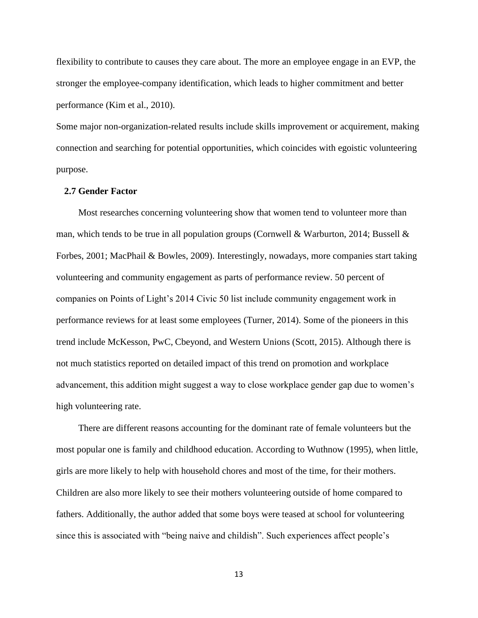flexibility to contribute to causes they care about. The more an employee engage in an EVP, the stronger the employee-company identification, which leads to higher commitment and better performance (Kim et al., 2010).

Some major non-organization-related results include skills improvement or acquirement, making connection and searching for potential opportunities, which coincides with egoistic volunteering purpose.

#### <span id="page-17-0"></span>**2.7 Gender Factor**

Most researches concerning volunteering show that women tend to volunteer more than man, which tends to be true in all population groups (Cornwell & Warburton, 2014; Bussell & Forbes, 2001; MacPhail & Bowles, 2009). Interestingly, nowadays, more companies start taking volunteering and community engagement as parts of performance review. 50 percent of companies on Points of Light's 2014 Civic 50 list include community engagement work in performance reviews for at least some employees (Turner, 2014). Some of the pioneers in this trend include McKesson, PwC, Cbeyond, and Western Unions (Scott, 2015). Although there is not much statistics reported on detailed impact of this trend on promotion and workplace advancement, this addition might suggest a way to close workplace gender gap due to women's high volunteering rate.

There are different reasons accounting for the dominant rate of female volunteers but the most popular one is family and childhood education. According to Wuthnow (1995), when little, girls are more likely to help with household chores and most of the time, for their mothers. Children are also more likely to see their mothers volunteering outside of home compared to fathers. Additionally, the author added that some boys were teased at school for volunteering since this is associated with "being naive and childish". Such experiences affect people's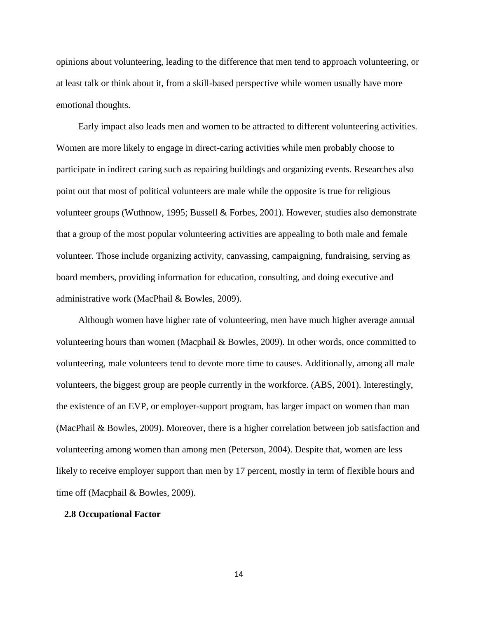opinions about volunteering, leading to the difference that men tend to approach volunteering, or at least talk or think about it, from a skill-based perspective while women usually have more emotional thoughts.

Early impact also leads men and women to be attracted to different volunteering activities. Women are more likely to engage in direct-caring activities while men probably choose to participate in indirect caring such as repairing buildings and organizing events. Researches also point out that most of political volunteers are male while the opposite is true for religious volunteer groups (Wuthnow, 1995; Bussell & Forbes, 2001). However, studies also demonstrate that a group of the most popular volunteering activities are appealing to both male and female volunteer. Those include organizing activity, canvassing, campaigning, fundraising, serving as board members, providing information for education, consulting, and doing executive and administrative work (MacPhail & Bowles, 2009).

Although women have higher rate of volunteering, men have much higher average annual volunteering hours than women (Macphail & Bowles, 2009). In other words, once committed to volunteering, male volunteers tend to devote more time to causes. Additionally, among all male volunteers, the biggest group are people currently in the workforce. (ABS, 2001). Interestingly, the existence of an EVP, or employer-support program, has larger impact on women than man (MacPhail & Bowles, 2009). Moreover, there is a higher correlation between job satisfaction and volunteering among women than among men (Peterson, 2004). Despite that, women are less likely to receive employer support than men by 17 percent, mostly in term of flexible hours and time off (Macphail & Bowles, 2009).

#### <span id="page-18-0"></span>**2.8 Occupational Factor**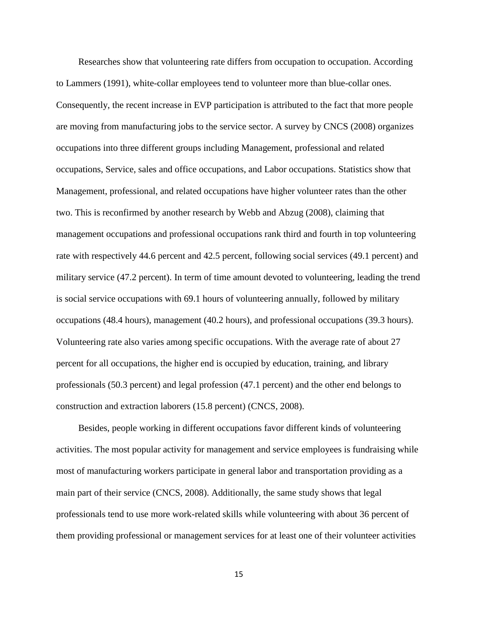Researches show that volunteering rate differs from occupation to occupation. According to Lammers (1991), white-collar employees tend to volunteer more than blue-collar ones. Consequently, the recent increase in EVP participation is attributed to the fact that more people are moving from manufacturing jobs to the service sector. A survey by CNCS (2008) organizes occupations into three different groups including Management, professional and related occupations, Service, sales and office occupations, and Labor occupations. Statistics show that Management, professional, and related occupations have higher volunteer rates than the other two. This is reconfirmed by another research by Webb and Abzug (2008), claiming that management occupations and professional occupations rank third and fourth in top volunteering rate with respectively 44.6 percent and 42.5 percent, following social services (49.1 percent) and military service (47.2 percent). In term of time amount devoted to volunteering, leading the trend is social service occupations with 69.1 hours of volunteering annually, followed by military occupations (48.4 hours), management (40.2 hours), and professional occupations (39.3 hours). Volunteering rate also varies among specific occupations. With the average rate of about 27 percent for all occupations, the higher end is occupied by education, training, and library professionals (50.3 percent) and legal profession (47.1 percent) and the other end belongs to construction and extraction laborers (15.8 percent) (CNCS, 2008).

Besides, people working in different occupations favor different kinds of volunteering activities. The most popular activity for management and service employees is fundraising while most of manufacturing workers participate in general labor and transportation providing as a main part of their service (CNCS, 2008). Additionally, the same study shows that legal professionals tend to use more work-related skills while volunteering with about 36 percent of them providing professional or management services for at least one of their volunteer activities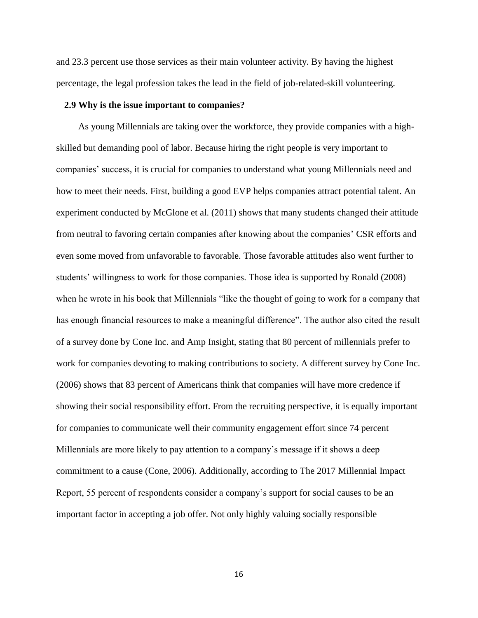and 23.3 percent use those services as their main volunteer activity. By having the highest percentage, the legal profession takes the lead in the field of job-related-skill volunteering.

#### <span id="page-20-0"></span>**2.9 Why is the issue important to companies?**

As young Millennials are taking over the workforce, they provide companies with a highskilled but demanding pool of labor. Because hiring the right people is very important to companies' success, it is crucial for companies to understand what young Millennials need and how to meet their needs. First, building a good EVP helps companies attract potential talent. An experiment conducted by McGlone et al. (2011) shows that many students changed their attitude from neutral to favoring certain companies after knowing about the companies' CSR efforts and even some moved from unfavorable to favorable. Those favorable attitudes also went further to students' willingness to work for those companies. Those idea is supported by Ronald (2008) when he wrote in his book that Millennials "like the thought of going to work for a company that has enough financial resources to make a meaningful difference". The author also cited the result of a survey done by Cone Inc. and Amp Insight, stating that 80 percent of millennials prefer to work for companies devoting to making contributions to society. A different survey by Cone Inc. (2006) shows that 83 percent of Americans think that companies will have more credence if showing their social responsibility effort. From the recruiting perspective, it is equally important for companies to communicate well their community engagement effort since 74 percent Millennials are more likely to pay attention to a company's message if it shows a deep commitment to a cause (Cone, 2006). Additionally, according to The 2017 Millennial Impact Report, 55 percent of respondents consider a company's support for social causes to be an important factor in accepting a job offer. Not only highly valuing socially responsible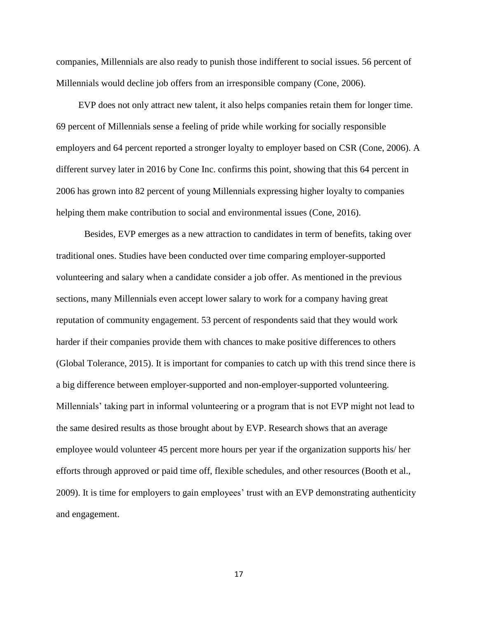companies, Millennials are also ready to punish those indifferent to social issues. 56 percent of Millennials would decline job offers from an irresponsible company (Cone, 2006).

EVP does not only attract new talent, it also helps companies retain them for longer time. 69 percent of Millennials sense a feeling of pride while working for socially responsible employers and 64 percent reported a stronger loyalty to employer based on CSR (Cone, 2006). A different survey later in 2016 by Cone Inc. confirms this point, showing that this 64 percent in 2006 has grown into 82 percent of young Millennials expressing higher loyalty to companies helping them make contribution to social and environmental issues (Cone, 2016).

Besides, EVP emerges as a new attraction to candidates in term of benefits, taking over traditional ones. Studies have been conducted over time comparing employer-supported volunteering and salary when a candidate consider a job offer. As mentioned in the previous sections, many Millennials even accept lower salary to work for a company having great reputation of community engagement. 53 percent of respondents said that they would work harder if their companies provide them with chances to make positive differences to others (Global Tolerance, 2015). It is important for companies to catch up with this trend since there is a big difference between employer-supported and non-employer-supported volunteering. Millennials' taking part in informal volunteering or a program that is not EVP might not lead to the same desired results as those brought about by EVP. Research shows that an average employee would volunteer 45 percent more hours per year if the organization supports his/ her efforts through approved or paid time off, flexible schedules, and other resources (Booth et al., 2009). It is time for employers to gain employees' trust with an EVP demonstrating authenticity and engagement.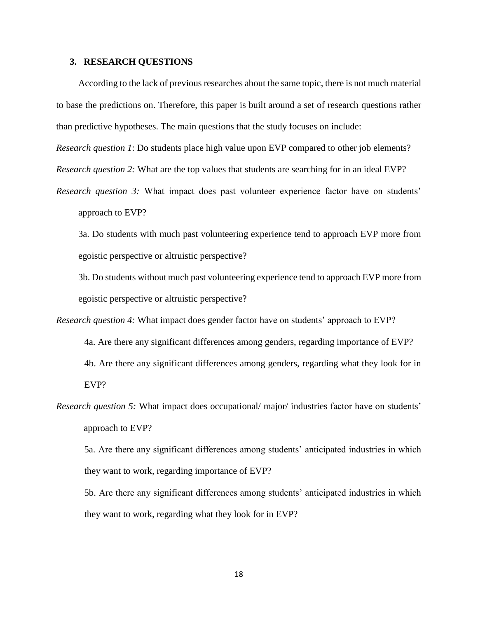#### <span id="page-22-0"></span>**3. RESEARCH QUESTIONS**

According to the lack of previous researches about the same topic, there is not much material to base the predictions on. Therefore, this paper is built around a set of research questions rather than predictive hypotheses. The main questions that the study focuses on include:

*Research question 1*: Do students place high value upon EVP compared to other job elements?

*Research question 2:* What are the top values that students are searching for in an ideal EVP?

*Research question 3:* What impact does past volunteer experience factor have on students' approach to EVP?

3a. Do students with much past volunteering experience tend to approach EVP more from egoistic perspective or altruistic perspective?

3b. Do students without much past volunteering experience tend to approach EVP more from egoistic perspective or altruistic perspective?

- *Research question 4:* What impact does gender factor have on students' approach to EVP? 4a. Are there any significant differences among genders, regarding importance of EVP? 4b. Are there any significant differences among genders, regarding what they look for in EVP?
- *Research question 5:* What impact does occupational/ major/ industries factor have on students' approach to EVP?

5a. Are there any significant differences among students' anticipated industries in which they want to work, regarding importance of EVP?

5b. Are there any significant differences among students' anticipated industries in which they want to work, regarding what they look for in EVP?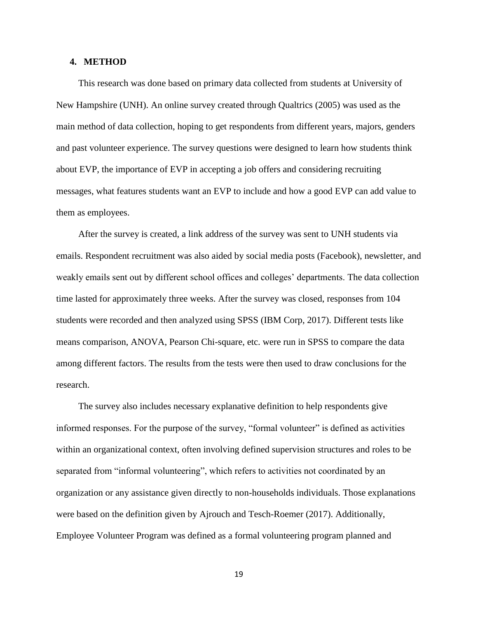#### <span id="page-23-0"></span>**4. METHOD**

This research was done based on primary data collected from students at University of New Hampshire (UNH). An online survey created through Qualtrics (2005) was used as the main method of data collection, hoping to get respondents from different years, majors, genders and past volunteer experience. The survey questions were designed to learn how students think about EVP, the importance of EVP in accepting a job offers and considering recruiting messages, what features students want an EVP to include and how a good EVP can add value to them as employees.

After the survey is created, a link address of the survey was sent to UNH students via emails. Respondent recruitment was also aided by social media posts (Facebook), newsletter, and weakly emails sent out by different school offices and colleges' departments. The data collection time lasted for approximately three weeks. After the survey was closed, responses from 104 students were recorded and then analyzed using SPSS (IBM Corp, 2017). Different tests like means comparison, ANOVA, Pearson Chi-square, etc. were run in SPSS to compare the data among different factors. The results from the tests were then used to draw conclusions for the research.

The survey also includes necessary explanative definition to help respondents give informed responses. For the purpose of the survey, "formal volunteer" is defined as activities within an organizational context, often involving defined supervision structures and roles to be separated from "informal volunteering", which refers to activities not coordinated by an organization or any assistance given directly to non-households individuals. Those explanations were based on the definition given by Ajrouch and Tesch-Roemer (2017). Additionally, Employee Volunteer Program was defined as a formal volunteering program planned and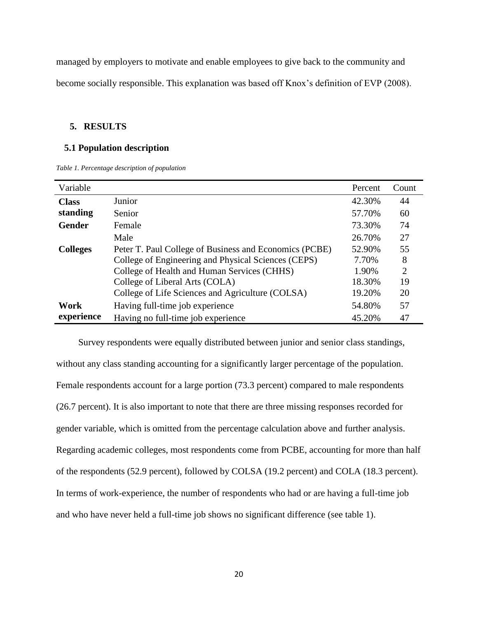managed by employers to motivate and enable employees to give back to the community and become socially responsible. This explanation was based off Knox's definition of EVP (2008).

### <span id="page-24-0"></span>**5. RESULTS**

#### <span id="page-24-1"></span>**5.1 Population description**

<span id="page-24-2"></span>*Table 1. Percentage description of population*

| Variable        |                                                        | Percent | Count          |
|-----------------|--------------------------------------------------------|---------|----------------|
| <b>Class</b>    | Junior                                                 | 42.30%  | 44             |
| standing        | Senior                                                 | 57.70%  | 60             |
| <b>Gender</b>   | Female                                                 | 73.30%  | 74             |
|                 | Male                                                   | 26.70%  | 27             |
| <b>Colleges</b> | Peter T. Paul College of Business and Economics (PCBE) | 52.90%  | 55             |
|                 | College of Engineering and Physical Sciences (CEPS)    | 7.70%   | 8              |
|                 | College of Health and Human Services (CHHS)            | 1.90%   | $\overline{2}$ |
|                 | College of Liberal Arts (COLA)                         | 18.30%  | 19             |
|                 | College of Life Sciences and Agriculture (COLSA)       | 19.20%  | 20             |
| Work            | Having full-time job experience                        | 54.80%  | 57             |
| experience      | Having no full-time job experience                     | 45.20%  | 47             |

Survey respondents were equally distributed between junior and senior class standings, without any class standing accounting for a significantly larger percentage of the population. Female respondents account for a large portion (73.3 percent) compared to male respondents (26.7 percent). It is also important to note that there are three missing responses recorded for gender variable, which is omitted from the percentage calculation above and further analysis. Regarding academic colleges, most respondents come from PCBE, accounting for more than half of the respondents (52.9 percent), followed by COLSA (19.2 percent) and COLA (18.3 percent). In terms of work-experience, the number of respondents who had or are having a full-time job and who have never held a full-time job shows no significant difference (see table 1).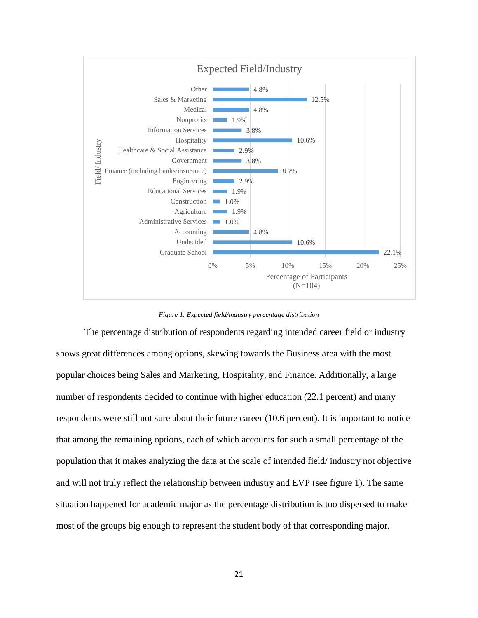

*Figure 1. Expected field/industry percentage distribution*

<span id="page-25-0"></span>The percentage distribution of respondents regarding intended career field or industry shows great differences among options, skewing towards the Business area with the most popular choices being Sales and Marketing, Hospitality, and Finance. Additionally, a large number of respondents decided to continue with higher education (22.1 percent) and many respondents were still not sure about their future career (10.6 percent). It is important to notice that among the remaining options, each of which accounts for such a small percentage of the population that it makes analyzing the data at the scale of intended field/ industry not objective and will not truly reflect the relationship between industry and EVP (see figure 1). The same situation happened for academic major as the percentage distribution is too dispersed to make most of the groups big enough to represent the student body of that corresponding major.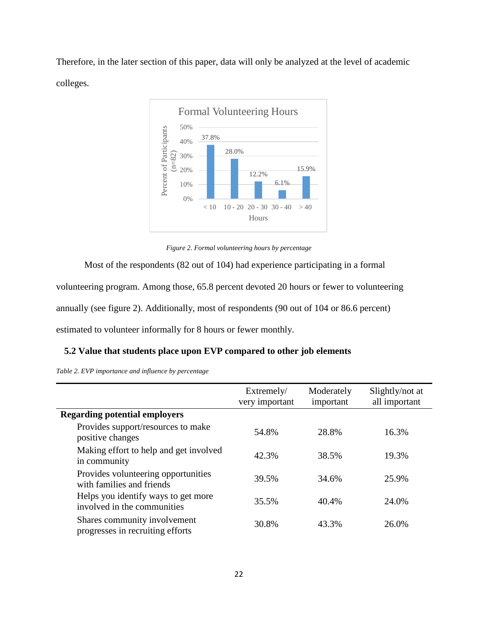Therefore, in the later section of this paper, data will only be analyzed at the level of academic colleges.



*Figure 2. Formal volunteering hours by percentage*

<span id="page-26-1"></span>Most of the respondents (82 out of 104) had experience participating in a formal

volunteering program. Among those, 65.8 percent devoted 20 hours or fewer to volunteering

annually (see figure 2). Additionally, most of respondents (90 out of 104 or 86.6 percent)

estimated to volunteer informally for 8 hours or fewer monthly.

### <span id="page-26-0"></span>**5.2 Value that students place upon EVP compared to other job elements**

<span id="page-26-2"></span>

|  |  | Table 2. EVP importance and influence by percentage |  |  |
|--|--|-----------------------------------------------------|--|--|
|--|--|-----------------------------------------------------|--|--|

|                                                                    | Extremely/<br>very important | Moderately<br>important | Slightly/not at<br>all important |
|--------------------------------------------------------------------|------------------------------|-------------------------|----------------------------------|
| <b>Regarding potential employers</b>                               |                              |                         |                                  |
| Provides support/resources to make<br>positive changes             | 54.8%                        | 28.8%                   | 16.3%                            |
| Making effort to help and get involved<br>in community             | 42.3%                        | 38.5%                   | 19.3%                            |
| Provides volunteering opportunities<br>with families and friends   | 39.5%                        | 34.6%                   | 25.9%                            |
| Helps you identify ways to get more<br>involved in the communities | 35.5%                        | 40.4%                   | 24.0%                            |
| Shares community involvement<br>progresses in recruiting efforts   | 30.8%                        | 43.3%                   | 26.0%                            |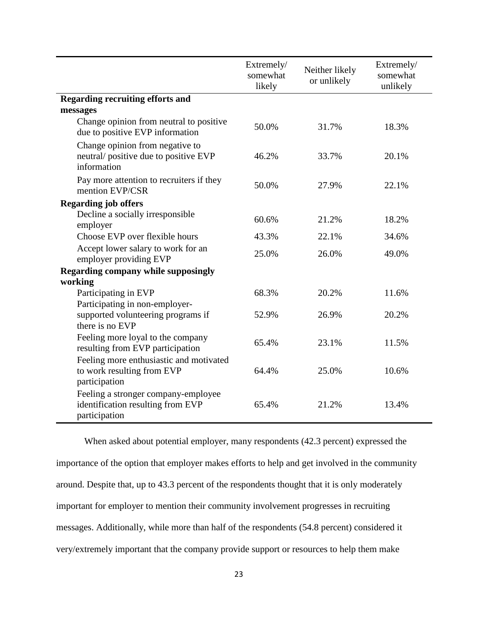|                                                                                           | Extremely/<br>somewhat<br>likely | Neither likely<br>or unlikely | Extremely/<br>somewhat<br>unlikely |
|-------------------------------------------------------------------------------------------|----------------------------------|-------------------------------|------------------------------------|
| <b>Regarding recruiting efforts and</b>                                                   |                                  |                               |                                    |
| messages                                                                                  |                                  |                               |                                    |
| Change opinion from neutral to positive<br>due to positive EVP information                | 50.0%                            | 31.7%                         | 18.3%                              |
| Change opinion from negative to<br>neutral/positive due to positive EVP<br>information    | 46.2%                            | 33.7%                         | 20.1%                              |
| Pay more attention to recruiters if they<br>mention EVP/CSR                               | 50.0%                            | 27.9%                         | 22.1%                              |
| <b>Regarding job offers</b>                                                               |                                  |                               |                                    |
| Decline a socially irresponsible<br>employer                                              | 60.6%                            | 21.2%                         | 18.2%                              |
| Choose EVP over flexible hours                                                            | 43.3%                            | 22.1%                         | 34.6%                              |
| Accept lower salary to work for an<br>employer providing EVP                              | 25.0%                            | 26.0%                         | 49.0%                              |
| <b>Regarding company while supposingly</b>                                                |                                  |                               |                                    |
| working                                                                                   |                                  |                               |                                    |
| Participating in EVP<br>Participating in non-employer-                                    | 68.3%                            | 20.2%                         | 11.6%                              |
| supported volunteering programs if<br>there is no EVP                                     | 52.9%                            | 26.9%                         | 20.2%                              |
| Feeling more loyal to the company<br>resulting from EVP participation                     | 65.4%                            | 23.1%                         | 11.5%                              |
| Feeling more enthusiastic and motivated<br>to work resulting from EVP<br>participation    | 64.4%                            | 25.0%                         | 10.6%                              |
| Feeling a stronger company-employee<br>identification resulting from EVP<br>participation | 65.4%                            | 21.2%                         | 13.4%                              |

When asked about potential employer, many respondents (42.3 percent) expressed the importance of the option that employer makes efforts to help and get involved in the community around. Despite that, up to 43.3 percent of the respondents thought that it is only moderately important for employer to mention their community involvement progresses in recruiting messages. Additionally, while more than half of the respondents (54.8 percent) considered it very/extremely important that the company provide support or resources to help them make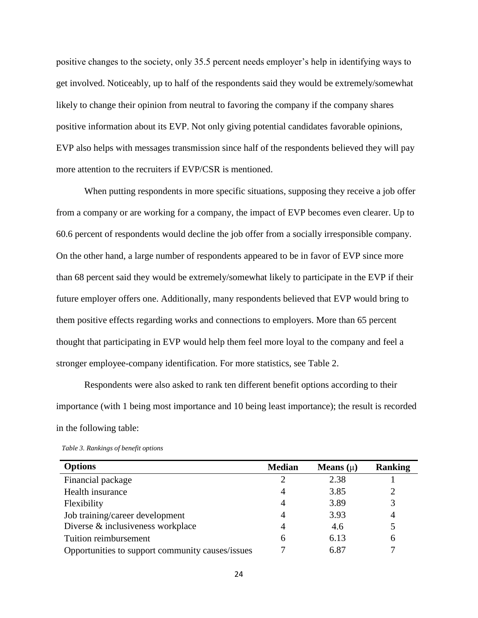positive changes to the society, only 35.5 percent needs employer's help in identifying ways to get involved. Noticeably, up to half of the respondents said they would be extremely/somewhat likely to change their opinion from neutral to favoring the company if the company shares positive information about its EVP. Not only giving potential candidates favorable opinions, EVP also helps with messages transmission since half of the respondents believed they will pay more attention to the recruiters if EVP/CSR is mentioned.

When putting respondents in more specific situations, supposing they receive a job offer from a company or are working for a company, the impact of EVP becomes even clearer. Up to 60.6 percent of respondents would decline the job offer from a socially irresponsible company. On the other hand, a large number of respondents appeared to be in favor of EVP since more than 68 percent said they would be extremely/somewhat likely to participate in the EVP if their future employer offers one. Additionally, many respondents believed that EVP would bring to them positive effects regarding works and connections to employers. More than 65 percent thought that participating in EVP would help them feel more loyal to the company and feel a stronger employee-company identification. For more statistics, see Table 2.

Respondents were also asked to rank ten different benefit options according to their importance (with 1 being most importance and 10 being least importance); the result is recorded in the following table:

| <b>Options</b>                                   | <b>Median</b> | Means $(\mu)$ | <b>Ranking</b> |
|--------------------------------------------------|---------------|---------------|----------------|
| Financial package                                | 2             | 2.38          |                |
| Health insurance                                 | 4             | 3.85          | 2              |
| Flexibility                                      | 4             | 3.89          | 3              |
| Job training/career development                  | 4             | 3.93          | 4              |
| Diverse & inclusiveness workplace                | 4             | 4.6           | 5              |
| Tuition reimbursement                            | 6             | 6.13          | 6              |
| Opportunities to support community causes/issues |               | 6.87          |                |

<span id="page-28-0"></span>*Table 3. Rankings of benefit options*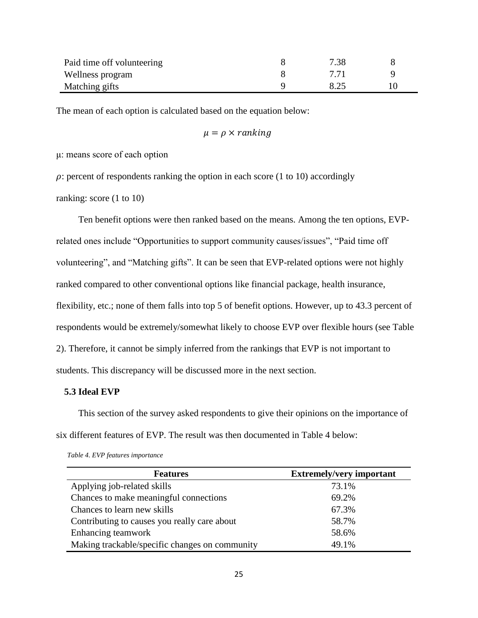| Paid time off volunteering | 7.38 |  |
|----------------------------|------|--|
| Wellness program           |      |  |
| Matching gifts             |      |  |

The mean of each option is calculated based on the equation below:

$$
\mu = \rho \times ranking
$$

μ: means score of each option

 $\rho$ : percent of respondents ranking the option in each score (1 to 10) accordingly

ranking: score (1 to 10)

Ten benefit options were then ranked based on the means. Among the ten options, EVPrelated ones include "Opportunities to support community causes/issues", "Paid time off volunteering", and "Matching gifts". It can be seen that EVP-related options were not highly ranked compared to other conventional options like financial package, health insurance, flexibility, etc.; none of them falls into top 5 of benefit options. However, up to 43.3 percent of respondents would be extremely/somewhat likely to choose EVP over flexible hours (see Table 2). Therefore, it cannot be simply inferred from the rankings that EVP is not important to students. This discrepancy will be discussed more in the next section.

## <span id="page-29-0"></span>**5.3 Ideal EVP**

This section of the survey asked respondents to give their opinions on the importance of six different features of EVP. The result was then documented in Table 4 below:

| <b>Features</b>                                | <b>Extremely/very important</b> |
|------------------------------------------------|---------------------------------|
| Applying job-related skills                    | 73.1%                           |
| Chances to make meaningful connections         | 69.2%                           |
| Chances to learn new skills                    | 67.3%                           |
| Contributing to causes you really care about   | 58.7%                           |
| Enhancing teamwork                             | 58.6%                           |
| Making trackable/specific changes on community | 49.1%                           |

<span id="page-29-1"></span>*Table 4. EVP features importance*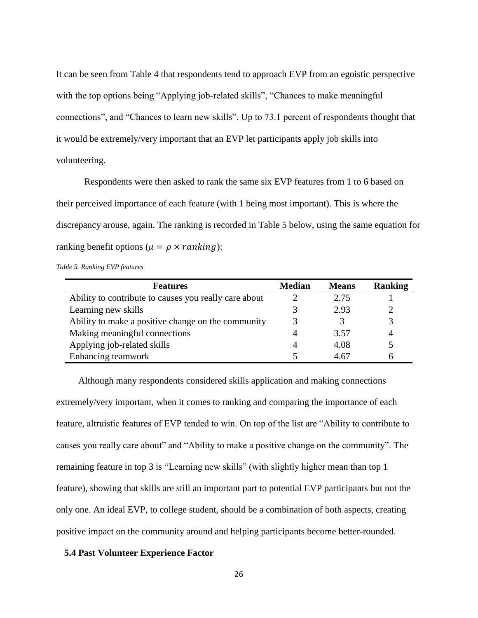It can be seen from Table 4 that respondents tend to approach EVP from an egoistic perspective with the top options being "Applying job-related skills", "Chances to make meaningful connections", and "Chances to learn new skills". Up to 73.1 percent of respondents thought that it would be extremely/very important that an EVP let participants apply job skills into volunteering.

Respondents were then asked to rank the same six EVP features from 1 to 6 based on their perceived importance of each feature (with 1 being most important). This is where the discrepancy arouse, again. The ranking is recorded in Table 5 below, using the same equation for ranking benefit options ( $\mu = \rho \times ranking$ ):

<span id="page-30-1"></span>*Table 5. Ranking EVP features*

| <b>Features</b>                                       | <b>Median</b> | <b>Means</b> | <b>Ranking</b> |
|-------------------------------------------------------|---------------|--------------|----------------|
| Ability to contribute to causes you really care about |               | 2.75         |                |
| Learning new skills                                   |               | 2.93         |                |
| Ability to make a positive change on the community    |               |              | 3              |
| Making meaningful connections                         |               | 3.57         |                |
| Applying job-related skills                           |               | 4.08         |                |
| Enhancing teamwork                                    |               | 4.67         |                |

Although many respondents considered skills application and making connections extremely/very important, when it comes to ranking and comparing the importance of each feature, altruistic features of EVP tended to win. On top of the list are "Ability to contribute to causes you really care about" and "Ability to make a positive change on the community". The remaining feature in top 3 is "Learning new skills" (with slightly higher mean than top 1 feature), showing that skills are still an important part to potential EVP participants but not the only one. An ideal EVP, to college student, should be a combination of both aspects, creating positive impact on the community around and helping participants become better-rounded.

#### <span id="page-30-0"></span>**5.4 Past Volunteer Experience Factor**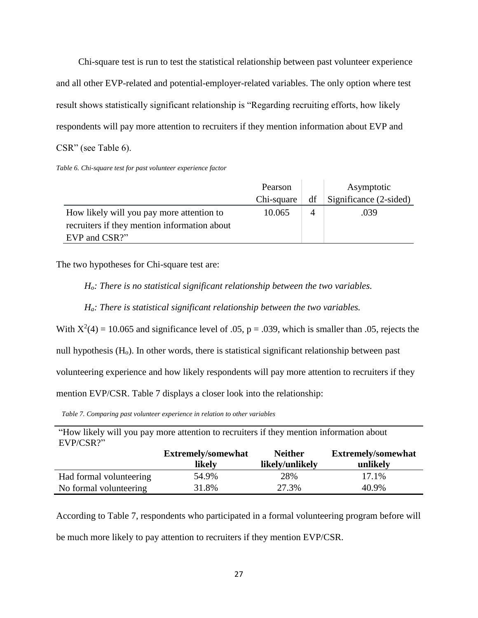Chi-square test is run to test the statistical relationship between past volunteer experience and all other EVP-related and potential-employer-related variables. The only option where test result shows statistically significant relationship is "Regarding recruiting efforts, how likely respondents will pay more attention to recruiters if they mention information about EVP and CSR" (see Table 6).

<span id="page-31-0"></span>*Table 6. Chi-square test for past volunteer experience factor*

|                                              | Pearson    |    | Asymptotic             |
|----------------------------------------------|------------|----|------------------------|
|                                              | Chi-square | df | Significance (2-sided) |
| How likely will you pay more attention to    | 10.065     | 4  | .039                   |
| recruiters if they mention information about |            |    |                        |
| EVP and CSR?"                                |            |    |                        |

The two hypotheses for Chi-square test are:

*Ho: There is no statistical significant relationship between the two variables.*

*Ha: There is statistical significant relationship between the two variables.*

With  $X^2(4) = 10.065$  and significance level of .05, p = .039, which is smaller than .05, rejects the

null hypothesis  $(H<sub>o</sub>)$ . In other words, there is statistical significant relationship between past

volunteering experience and how likely respondents will pay more attention to recruiters if they

mention EVP/CSR. Table 7 displays a closer look into the relationship:

<span id="page-31-1"></span>*Table 7. Comparing past volunteer experience in relation to other variables*

"How likely will you pay more attention to recruiters if they mention information about EVP/CSR?"

|                         | <b>Extremely/somewhat</b><br>likely | <b>Neither</b><br>likely/unlikely | <b>Extremely/somewhat</b><br>unlikely |
|-------------------------|-------------------------------------|-----------------------------------|---------------------------------------|
| Had formal volunteering | 54.9%                               | 28%                               | 17.1%                                 |
| No formal volunteering  | 31.8%                               | 27.3%                             | 40.9%                                 |

According to Table 7, respondents who participated in a formal volunteering program before will be much more likely to pay attention to recruiters if they mention EVP/CSR.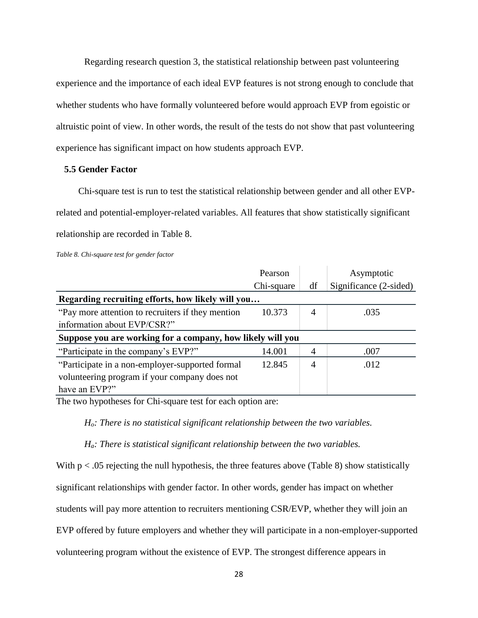Regarding research question 3, the statistical relationship between past volunteering experience and the importance of each ideal EVP features is not strong enough to conclude that whether students who have formally volunteered before would approach EVP from egoistic or altruistic point of view. In other words, the result of the tests do not show that past volunteering experience has significant impact on how students approach EVP.

#### <span id="page-32-0"></span>**5.5 Gender Factor**

Chi-square test is run to test the statistical relationship between gender and all other EVPrelated and potential-employer-related variables. All features that show statistically significant relationship are recorded in Table 8.

<span id="page-32-1"></span>*Table 8. Chi-square test for gender factor*

|                                                            | Pearson    |                | Asymptotic             |  |  |  |
|------------------------------------------------------------|------------|----------------|------------------------|--|--|--|
|                                                            | Chi-square | df             | Significance (2-sided) |  |  |  |
| Regarding recruiting efforts, how likely will you          |            |                |                        |  |  |  |
| "Pay more attention to recruiters if they mention"         | 10.373     | $\overline{4}$ | .035                   |  |  |  |
| information about EVP/CSR?"                                |            |                |                        |  |  |  |
| Suppose you are working for a company, how likely will you |            |                |                        |  |  |  |
| "Participate in the company's EVP?"                        | 14.001     | 4              | .007                   |  |  |  |
| "Participate in a non-employer-supported formal"           | 12.845     | 4              | .012                   |  |  |  |
| volunteering program if your company does not              |            |                |                        |  |  |  |
| have an EVP?"                                              |            |                |                        |  |  |  |

The two hypotheses for Chi-square test for each option are:

*Ho: There is no statistical significant relationship between the two variables.*

*Ha: There is statistical significant relationship between the two variables.*

With  $p < 0.05$  rejecting the null hypothesis, the three features above (Table 8) show statistically

significant relationships with gender factor. In other words, gender has impact on whether

students will pay more attention to recruiters mentioning CSR/EVP, whether they will join an

EVP offered by future employers and whether they will participate in a non-employer-supported

volunteering program without the existence of EVP. The strongest difference appears in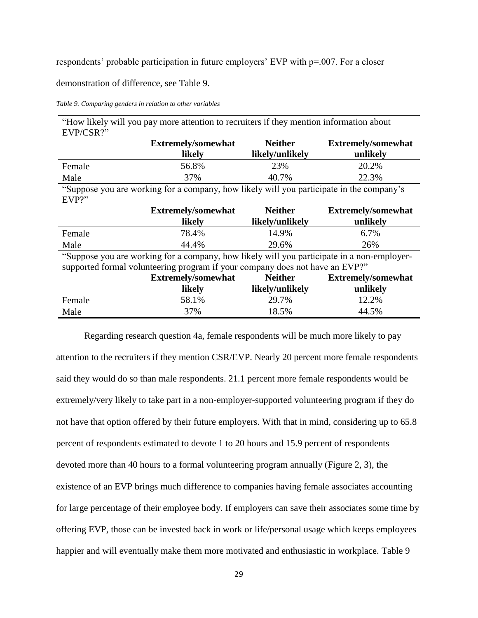respondents' probable participation in future employers' EVP with p=.007. For a closer

demonstration of difference, see Table 9.

<span id="page-33-0"></span>*Table 9. Comparing genders in relation to other variables*

| "How likely will you pay more attention to recruiters if they mention information about                                                                                    |                           |                 |                           |  |  |  |  |
|----------------------------------------------------------------------------------------------------------------------------------------------------------------------------|---------------------------|-----------------|---------------------------|--|--|--|--|
| EVP/CSR?"                                                                                                                                                                  |                           |                 |                           |  |  |  |  |
|                                                                                                                                                                            | <b>Extremely/somewhat</b> | <b>Neither</b>  | <b>Extremely/somewhat</b> |  |  |  |  |
|                                                                                                                                                                            | likely                    | likely/unlikely | unlikely                  |  |  |  |  |
| Female                                                                                                                                                                     | 56.8%                     | 23%             | 20.2%                     |  |  |  |  |
| Male                                                                                                                                                                       | 37%                       | 40.7%           | 22.3%                     |  |  |  |  |
| "Suppose you are working for a company, how likely will you participate in the company's<br>EVP?"                                                                          |                           |                 |                           |  |  |  |  |
|                                                                                                                                                                            | <b>Extremely/somewhat</b> | <b>Neither</b>  | <b>Extremely/somewhat</b> |  |  |  |  |
|                                                                                                                                                                            | likely                    | likely/unlikely | unlikely                  |  |  |  |  |
| Female                                                                                                                                                                     | 78.4%                     | 14.9%           | 6.7%                      |  |  |  |  |
| Male                                                                                                                                                                       | 44.4%                     | 29.6%           | 26%                       |  |  |  |  |
| "Suppose you are working for a company, how likely will you participate in a non-employer-<br>supported formal volunteering program if your company does not have an EVP?" |                           |                 |                           |  |  |  |  |
|                                                                                                                                                                            | <b>Extremely/somewhat</b> | <b>Neither</b>  | <b>Extremely/somewhat</b> |  |  |  |  |
|                                                                                                                                                                            | likely                    | likely/unlikely | unlikely                  |  |  |  |  |
| Female                                                                                                                                                                     | 58.1%                     | 29.7%           | 12.2%                     |  |  |  |  |
| Male                                                                                                                                                                       | 37%                       | 18.5%           | 44.5%                     |  |  |  |  |

Regarding research question 4a, female respondents will be much more likely to pay attention to the recruiters if they mention CSR/EVP. Nearly 20 percent more female respondents said they would do so than male respondents. 21.1 percent more female respondents would be extremely/very likely to take part in a non-employer-supported volunteering program if they do not have that option offered by their future employers. With that in mind, considering up to 65.8 percent of respondents estimated to devote 1 to 20 hours and 15.9 percent of respondents devoted more than 40 hours to a formal volunteering program annually (Figure 2, 3), the existence of an EVP brings much difference to companies having female associates accounting for large percentage of their employee body. If employers can save their associates some time by offering EVP, those can be invested back in work or life/personal usage which keeps employees happier and will eventually make them more motivated and enthusiastic in workplace. Table 9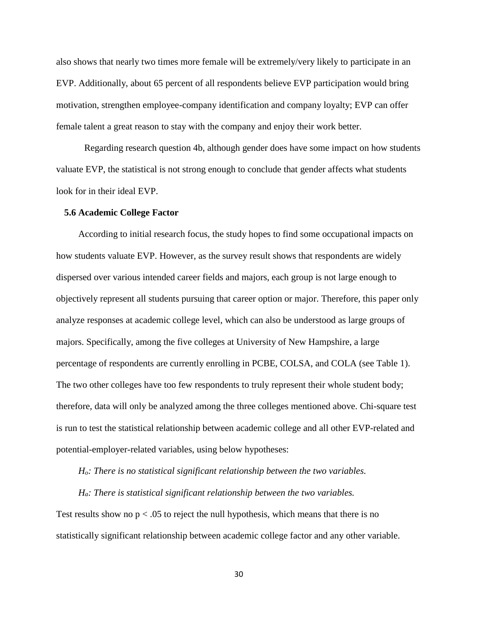also shows that nearly two times more female will be extremely/very likely to participate in an EVP. Additionally, about 65 percent of all respondents believe EVP participation would bring motivation, strengthen employee-company identification and company loyalty; EVP can offer female talent a great reason to stay with the company and enjoy their work better.

Regarding research question 4b, although gender does have some impact on how students valuate EVP, the statistical is not strong enough to conclude that gender affects what students look for in their ideal EVP.

#### <span id="page-34-0"></span>**5.6 Academic College Factor**

According to initial research focus, the study hopes to find some occupational impacts on how students valuate EVP. However, as the survey result shows that respondents are widely dispersed over various intended career fields and majors, each group is not large enough to objectively represent all students pursuing that career option or major. Therefore, this paper only analyze responses at academic college level, which can also be understood as large groups of majors. Specifically, among the five colleges at University of New Hampshire, a large percentage of respondents are currently enrolling in PCBE, COLSA, and COLA (see Table 1). The two other colleges have too few respondents to truly represent their whole student body; therefore, data will only be analyzed among the three colleges mentioned above. Chi-square test is run to test the statistical relationship between academic college and all other EVP-related and potential-employer-related variables, using below hypotheses:

*Ho: There is no statistical significant relationship between the two variables.*

#### *Ha: There is statistical significant relationship between the two variables.*

Test results show no  $p < .05$  to reject the null hypothesis, which means that there is no statistically significant relationship between academic college factor and any other variable.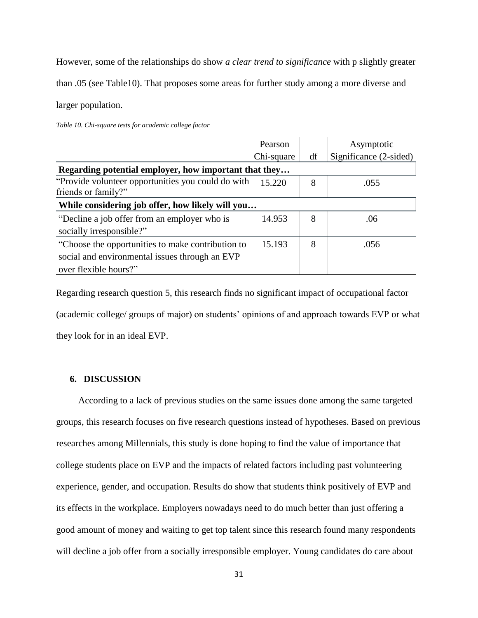However, some of the relationships do show *a clear trend to significance* with p slightly greater

than .05 (see Table10). That proposes some areas for further study among a more diverse and

larger population.

<span id="page-35-1"></span>*Table 10. Chi-square tests for academic college factor*

|                                                                                                                              | Pearson    |    | Asymptotic             |  |  |  |
|------------------------------------------------------------------------------------------------------------------------------|------------|----|------------------------|--|--|--|
|                                                                                                                              | Chi-square | df | Significance (2-sided) |  |  |  |
| Regarding potential employer, how important that they                                                                        |            |    |                        |  |  |  |
| "Provide volunteer opportunities you could do with<br>friends or family?"                                                    | 15.220     | 8  | .055                   |  |  |  |
| While considering job offer, how likely will you                                                                             |            |    |                        |  |  |  |
| "Decline a job offer from an employer who is<br>socially irresponsible?"                                                     | 14.953     | 8  | .06                    |  |  |  |
| "Choose the opportunities to make contribution to<br>social and environmental issues through an EVP<br>over flexible hours?" | 15.193     | 8  | .056                   |  |  |  |

Regarding research question 5, this research finds no significant impact of occupational factor (academic college/ groups of major) on students' opinions of and approach towards EVP or what they look for in an ideal EVP.

# <span id="page-35-0"></span>**6. DISCUSSION**

According to a lack of previous studies on the same issues done among the same targeted groups, this research focuses on five research questions instead of hypotheses. Based on previous researches among Millennials, this study is done hoping to find the value of importance that college students place on EVP and the impacts of related factors including past volunteering experience, gender, and occupation. Results do show that students think positively of EVP and its effects in the workplace. Employers nowadays need to do much better than just offering a good amount of money and waiting to get top talent since this research found many respondents will decline a job offer from a socially irresponsible employer. Young candidates do care about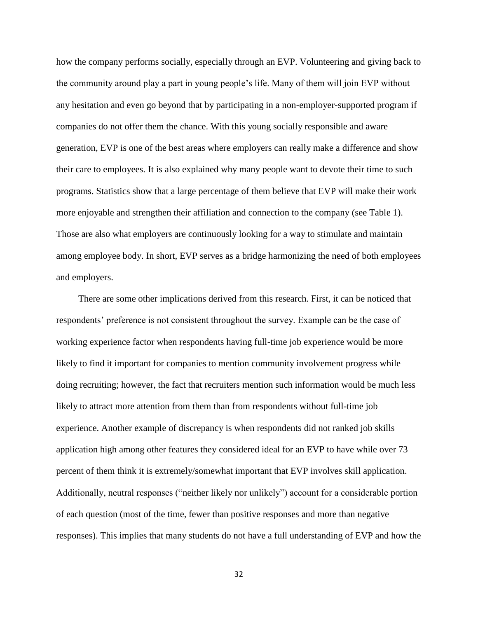how the company performs socially, especially through an EVP. Volunteering and giving back to the community around play a part in young people's life. Many of them will join EVP without any hesitation and even go beyond that by participating in a non-employer-supported program if companies do not offer them the chance. With this young socially responsible and aware generation, EVP is one of the best areas where employers can really make a difference and show their care to employees. It is also explained why many people want to devote their time to such programs. Statistics show that a large percentage of them believe that EVP will make their work more enjoyable and strengthen their affiliation and connection to the company (see Table 1). Those are also what employers are continuously looking for a way to stimulate and maintain among employee body. In short, EVP serves as a bridge harmonizing the need of both employees and employers.

There are some other implications derived from this research. First, it can be noticed that respondents' preference is not consistent throughout the survey. Example can be the case of working experience factor when respondents having full-time job experience would be more likely to find it important for companies to mention community involvement progress while doing recruiting; however, the fact that recruiters mention such information would be much less likely to attract more attention from them than from respondents without full-time job experience. Another example of discrepancy is when respondents did not ranked job skills application high among other features they considered ideal for an EVP to have while over 73 percent of them think it is extremely/somewhat important that EVP involves skill application. Additionally, neutral responses ("neither likely nor unlikely") account for a considerable portion of each question (most of the time, fewer than positive responses and more than negative responses). This implies that many students do not have a full understanding of EVP and how the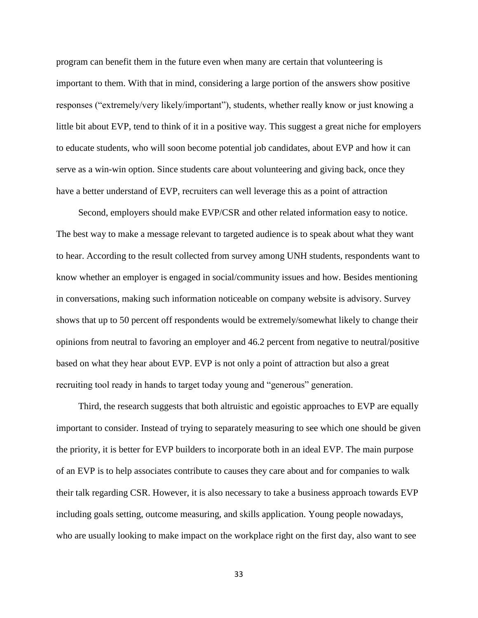program can benefit them in the future even when many are certain that volunteering is important to them. With that in mind, considering a large portion of the answers show positive responses ("extremely/very likely/important"), students, whether really know or just knowing a little bit about EVP, tend to think of it in a positive way. This suggest a great niche for employers to educate students, who will soon become potential job candidates, about EVP and how it can serve as a win-win option. Since students care about volunteering and giving back, once they have a better understand of EVP, recruiters can well leverage this as a point of attraction

Second, employers should make EVP/CSR and other related information easy to notice. The best way to make a message relevant to targeted audience is to speak about what they want to hear. According to the result collected from survey among UNH students, respondents want to know whether an employer is engaged in social/community issues and how. Besides mentioning in conversations, making such information noticeable on company website is advisory. Survey shows that up to 50 percent off respondents would be extremely/somewhat likely to change their opinions from neutral to favoring an employer and 46.2 percent from negative to neutral/positive based on what they hear about EVP. EVP is not only a point of attraction but also a great recruiting tool ready in hands to target today young and "generous" generation.

Third, the research suggests that both altruistic and egoistic approaches to EVP are equally important to consider. Instead of trying to separately measuring to see which one should be given the priority, it is better for EVP builders to incorporate both in an ideal EVP. The main purpose of an EVP is to help associates contribute to causes they care about and for companies to walk their talk regarding CSR. However, it is also necessary to take a business approach towards EVP including goals setting, outcome measuring, and skills application. Young people nowadays, who are usually looking to make impact on the workplace right on the first day, also want to see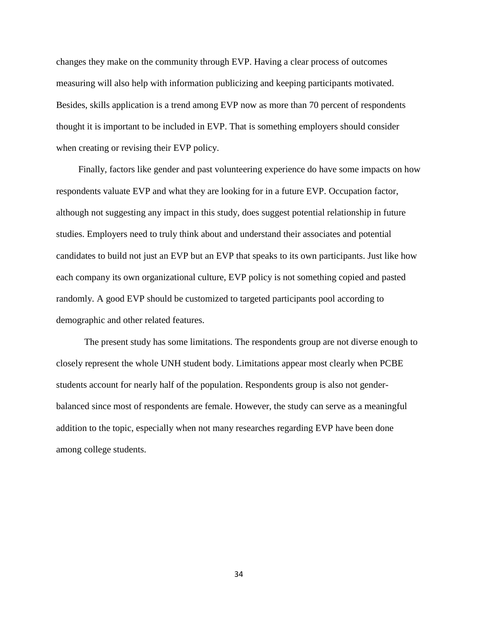changes they make on the community through EVP. Having a clear process of outcomes measuring will also help with information publicizing and keeping participants motivated. Besides, skills application is a trend among EVP now as more than 70 percent of respondents thought it is important to be included in EVP. That is something employers should consider when creating or revising their EVP policy.

Finally, factors like gender and past volunteering experience do have some impacts on how respondents valuate EVP and what they are looking for in a future EVP. Occupation factor, although not suggesting any impact in this study, does suggest potential relationship in future studies. Employers need to truly think about and understand their associates and potential candidates to build not just an EVP but an EVP that speaks to its own participants. Just like how each company its own organizational culture, EVP policy is not something copied and pasted randomly. A good EVP should be customized to targeted participants pool according to demographic and other related features.

The present study has some limitations. The respondents group are not diverse enough to closely represent the whole UNH student body. Limitations appear most clearly when PCBE students account for nearly half of the population. Respondents group is also not genderbalanced since most of respondents are female. However, the study can serve as a meaningful addition to the topic, especially when not many researches regarding EVP have been done among college students.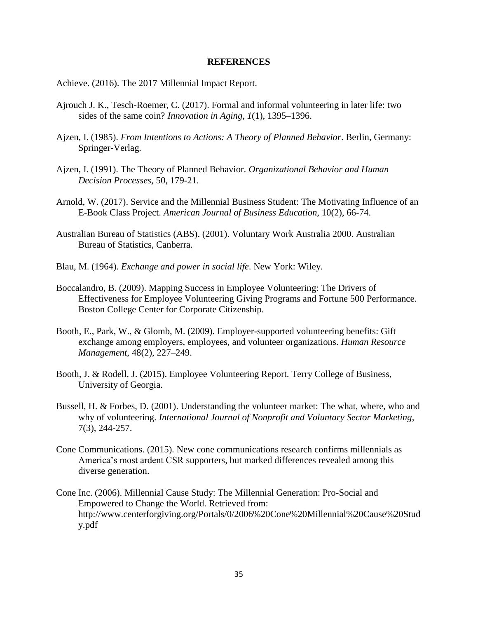#### **REFERENCES**

Achieve. (2016). The 2017 Millennial Impact Report.

- Ajrouch J. K., Tesch-Roemer, C. (2017). Formal and informal volunteering in later life: two sides of the same coin? *Innovation in Aging*, *1*(1), 1395–1396.
- Ajzen, I. (1985). *From Intentions to Actions: A Theory of Planned Behavior*. Berlin, Germany: Springer-Verlag.
- Ajzen, I. (1991). The Theory of Planned Behavior. *Organizational Behavior and Human Decision Processes,* 50, 179-21.
- Arnold, W. (2017). Service and the Millennial Business Student: The Motivating Influence of an E-Book Class Project. *American Journal of Business Education*, 10(2), 66-74.
- Australian Bureau of Statistics (ABS). (2001). Voluntary Work Australia 2000. Australian Bureau of Statistics, Canberra.
- Blau, M. (1964). *Exchange and power in social life*. New York: Wiley.
- Boccalandro, B. (2009). Mapping Success in Employee Volunteering: The Drivers of Effectiveness for Employee Volunteering Giving Programs and Fortune 500 Performance. Boston College Center for Corporate Citizenship.
- Booth, E., Park, W., & Glomb, M. (2009). Employer-supported volunteering benefits: Gift exchange among employers, employees, and volunteer organizations. *Human Resource Management*, 48(2), 227–249.
- Booth, J. & Rodell, J. (2015). Employee Volunteering Report. Terry College of Business, University of Georgia.
- Bussell, H. & Forbes, D. (2001). Understanding the volunteer market: The what, where, who and why of volunteering. *International Journal of Nonprofit and Voluntary Sector Marketing*, 7(3), 244-257.
- Cone Communications. (2015). New cone communications research confirms millennials as America's most ardent CSR supporters, but marked differences revealed among this diverse generation.
- Cone Inc. (2006). Millennial Cause Study: The Millennial Generation: Pro-Social and Empowered to Change the World. Retrieved from: http://www.centerforgiving.org/Portals/0/2006%20Cone%20Millennial%20Cause%20Stud y.pdf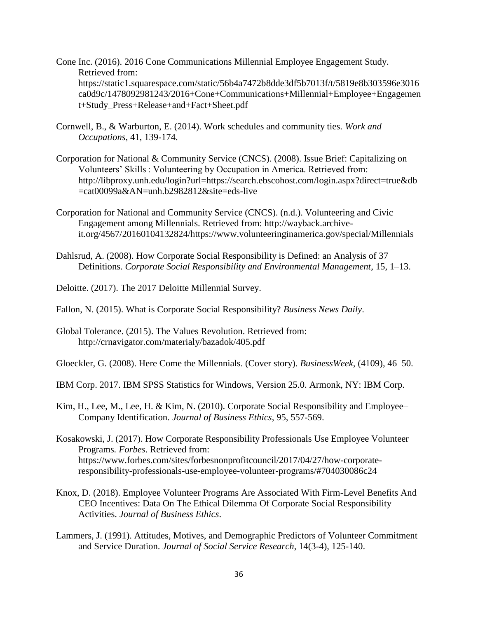- Cone Inc. (2016). 2016 Cone Communications Millennial Employee Engagement Study. Retrieved from: https://static1.squarespace.com/static/56b4a7472b8dde3df5b7013f/t/5819e8b303596e3016 ca0d9c/1478092981243/2016+Cone+Communications+Millennial+Employee+Engagemen t+Study\_Press+Release+and+Fact+Sheet.pdf
- Cornwell, B., & Warburton, E. (2014). Work schedules and community ties. *Work and Occupations*, 41, 139-174.
- Corporation for National & Community Service (CNCS). (2008). Issue Brief: Capitalizing on Volunteers' Skills : Volunteering by Occupation in America. Retrieved from: http://libproxy.unh.edu/login?url=https://search.ebscohost.com/login.aspx?direct=true&db =cat00099a&AN=unh.b2982812&site=eds-live
- Corporation for National and Community Service (CNCS). (n.d.). Volunteering and Civic Engagement among Millennials. Retrieved from: http://wayback.archiveit.org/4567/20160104132824/https://www.volunteeringinamerica.gov/special/Millennials
- Dahlsrud, A. (2008). How Corporate Social Responsibility is Defined: an Analysis of 37 Definitions. *Corporate Social Responsibility and Environmental Management*, 15, 1–13.

Deloitte. (2017). The 2017 Deloitte Millennial Survey.

- Fallon, N. (2015). What is Corporate Social Responsibility? *Business News Daily*.
- Global Tolerance. (2015). The Values Revolution. Retrieved from: http://crnavigator.com/materialy/bazadok/405.pdf

Gloeckler, G. (2008). Here Come the Millennials. (Cover story). *BusinessWeek*, (4109), 46–50.

- IBM Corp. 2017. IBM SPSS Statistics for Windows, Version 25.0. Armonk, NY: IBM Corp.
- Kim, H., Lee, M., Lee, H. & Kim, N. (2010). Corporate Social Responsibility and Employee– Company Identification. *Journal of Business Ethics*, 95, 557-569.
- Kosakowski, J. (2017). How Corporate Responsibility Professionals Use Employee Volunteer Programs*. Forbes*. Retrieved from: https://www.forbes.com/sites/forbesnonprofitcouncil/2017/04/27/how-corporateresponsibility-professionals-use-employee-volunteer-programs/#704030086c24
- Knox, D. (2018). Employee Volunteer Programs Are Associated With Firm-Level Benefits And CEO Incentives: Data On The Ethical Dilemma Of Corporate Social Responsibility Activities. *Journal of Business Ethics*.
- Lammers, J. (1991). Attitudes, Motives, and Demographic Predictors of Volunteer Commitment and Service Duration. *Journal of Social Service Research*, 14(3-4), 125-140.